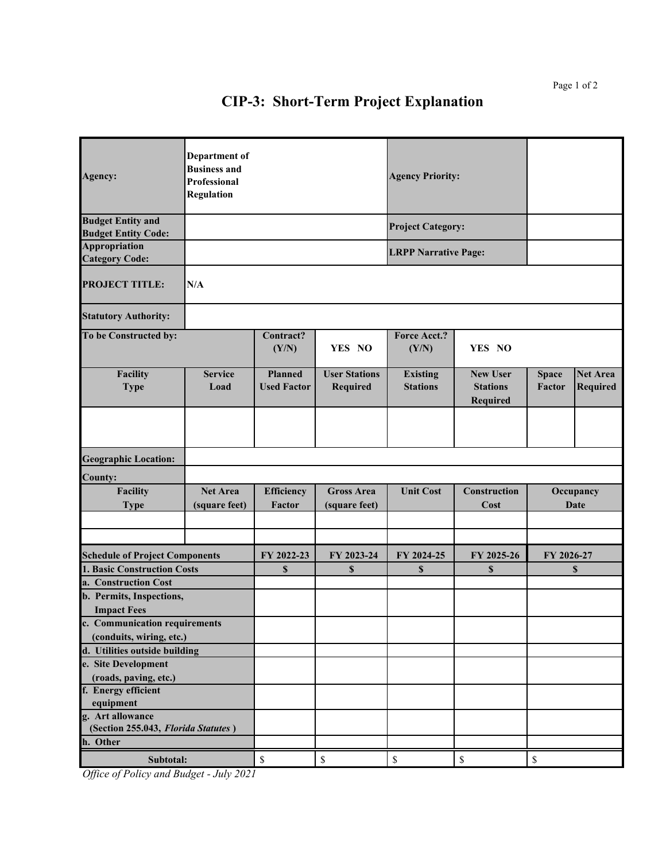## **CIP-3: Short-Term Project Explanation**

| Agency:                                                   | Department of<br><b>Business and</b><br>Professional<br><b>Regulation</b> |                                      |                                    | <b>Agency Priority:</b>            |                                                |                                             |                                    |  |
|-----------------------------------------------------------|---------------------------------------------------------------------------|--------------------------------------|------------------------------------|------------------------------------|------------------------------------------------|---------------------------------------------|------------------------------------|--|
| <b>Budget Entity and</b>                                  |                                                                           |                                      |                                    | <b>Project Category:</b>           |                                                |                                             |                                    |  |
| <b>Budget Entity Code:</b><br>Appropriation               |                                                                           |                                      |                                    |                                    |                                                |                                             |                                    |  |
| <b>Category Code:</b>                                     |                                                                           |                                      |                                    | <b>LRPP Narrative Page:</b>        |                                                |                                             |                                    |  |
| <b>PROJECT TITLE:</b>                                     | N/A                                                                       |                                      |                                    |                                    |                                                |                                             |                                    |  |
| <b>Statutory Authority:</b>                               |                                                                           |                                      |                                    |                                    |                                                |                                             |                                    |  |
| To be Constructed by:                                     |                                                                           | Contract?<br>(Y/N)                   | YES NO                             | <b>Force Acct.?</b><br>(Y/N)       | YES NO                                         |                                             |                                    |  |
| <b>Facility</b><br><b>Type</b>                            | <b>Service</b><br>Load                                                    | <b>Planned</b><br><b>Used Factor</b> | <b>User Stations</b><br>Required   | <b>Existing</b><br><b>Stations</b> | <b>New User</b><br><b>Stations</b><br>Required | <b>Space</b><br><b>Factor</b>               | <b>Net Area</b><br><b>Required</b> |  |
|                                                           |                                                                           |                                      |                                    |                                    |                                                |                                             |                                    |  |
| <b>Geographic Location:</b>                               |                                                                           |                                      |                                    |                                    |                                                |                                             |                                    |  |
| County:                                                   |                                                                           |                                      |                                    |                                    |                                                |                                             |                                    |  |
| <b>Facility</b><br><b>Type</b>                            | <b>Net Area</b><br>(square feet)                                          | Efficiency<br>Factor                 | <b>Gross Area</b><br>(square feet) | <b>Unit Cost</b>                   | Construction<br>Cost                           | Occupancy<br>Date                           |                                    |  |
|                                                           |                                                                           |                                      |                                    |                                    |                                                |                                             |                                    |  |
|                                                           |                                                                           |                                      |                                    |                                    |                                                |                                             |                                    |  |
| <b>Schedule of Project Components</b>                     |                                                                           | FY 2022-23                           | FY 2023-24                         | FY 2024-25                         | FY 2025-26                                     | FY 2026-27                                  |                                    |  |
| 1. Basic Construction Costs                               |                                                                           | $\mathbf{s}$                         | \$                                 | \$                                 | \$                                             |                                             | \$                                 |  |
| a. Construction Cost                                      |                                                                           |                                      |                                    |                                    |                                                |                                             |                                    |  |
| b. Permits, Inspections,<br><b>Impact Fees</b>            |                                                                           |                                      |                                    |                                    |                                                |                                             |                                    |  |
| c. Communication requirements<br>(conduits, wiring, etc.) |                                                                           |                                      |                                    |                                    |                                                |                                             |                                    |  |
| d. Utilities outside building                             |                                                                           |                                      |                                    |                                    |                                                |                                             |                                    |  |
| e. Site Development                                       |                                                                           |                                      |                                    |                                    |                                                |                                             |                                    |  |
| (roads, paving, etc.)                                     |                                                                           |                                      |                                    |                                    |                                                |                                             |                                    |  |
| f. Energy efficient                                       |                                                                           |                                      |                                    |                                    |                                                |                                             |                                    |  |
| equipment                                                 |                                                                           |                                      |                                    |                                    |                                                |                                             |                                    |  |
| g. Art allowance<br>(Section 255.043, Florida Statutes)   |                                                                           |                                      |                                    |                                    |                                                |                                             |                                    |  |
| h. Other                                                  |                                                                           |                                      |                                    |                                    |                                                |                                             |                                    |  |
| Subtotal:                                                 |                                                                           | $\mathbb{S}$                         | $\mathbb S$                        | $\mathbb{S}$                       | $\mathbb{S}$                                   | $\mathbb{S}% _{n}^{X\rightarrow\mathbb{R}}$ |                                    |  |

*Office of Policy and Budget - July 2021*